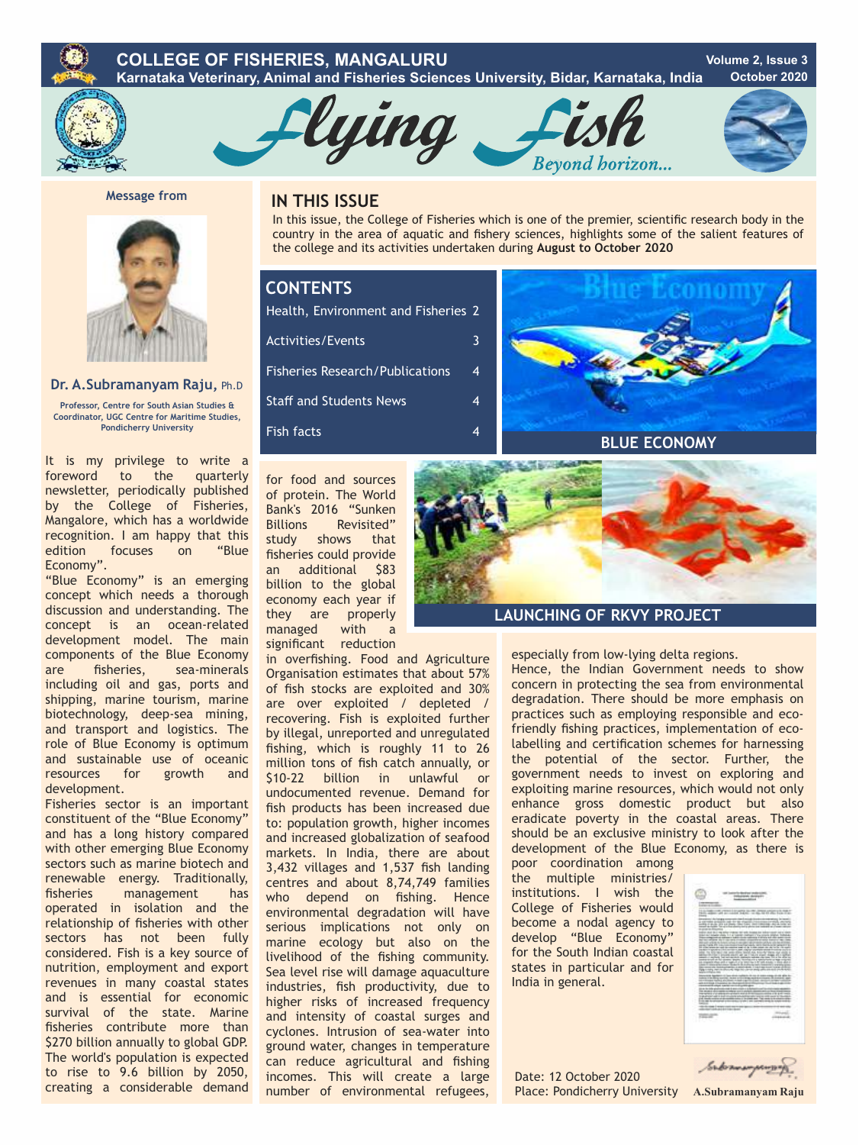## **COLLEGE OF FISHERIES, MANGALURU Karnataka Veterinary, Animal and Fisheries Sciences University, Bidar, Karnataka, India Volume 2, Issue 3 October 2020**



**Message from** 



## **Dr. A.Subramanyam Raju,** Ph.D

**Professor, Centre for South Asian Studies & Coordinator, UGC Centre for Maritime Studies, Pondicherry University**

It is my privilege to write a foreword to the quarterly newsletter, periodically published by the College of Fisheries, Mangalore, which has a worldwide recognition. I am happy that this<br>edition focuses on "Blue focuses Economy".

"Blue Economy" is an emerging concept which needs a thorough discussion and understanding. The concept is an ocean-related development model. The main components of the Blue Economy are fisheries, sea-minerals including oil and gas, ports and shipping, marine tourism, marine biotechnology, deep-sea mining, and transport and logistics. The role of Blue Economy is optimum and sustainable use of oceanic resources for growth and development.

Fisheries sector is an important constituent of the "Blue Economy" and has a long history compared with other emerging Blue Economy sectors such as marine biotech and renewable energy. Traditionally,<br>fisheries management has management has operated in isolation and the relationship of fisheries with other sectors has not been fully considered. Fish is a key source of nutrition, employment and export revenues in many coastal states and is essential for economic survival of the state. Marine fisheries contribute more than \$270 billion annually to global GDP. The world's population is expected to rise to 9.6 billion by 2050, creating a considerable demand

## **IN THIS ISSUE**

In this issue, the College of Fisheries which is one of the premier, scientific research body in the country in the area of aquatic and fishery sciences, highlights some of the salient features of the college and its activities undertaken during **August to October 2020** 

Bevond borizon...

# **CONTENTS**

Fisheries Research/Publications Staff and Students News Fish facts Health, Environment and Fisheries 2 Activities/Events 3 4 4 4

lying



for food and sources of protein. The World Bank's 2016 "Sunken Billions Revisited" study shows that fisheries could provide an additional \$83 billion to the global economy each year if they are properly managed with a significant reduction

in overfishing. Food and Agriculture Organisation estimates that about 57% of fish stocks are exploited and 30% are over exploited / depleted / recovering. Fish is exploited further by illegal, unreported and unregulated fishing, which is roughly 11 to 26 million tons of fish catch annually, or \$10-22 billion in unlawful or undocumented revenue. Demand for fish products has been increased due to: population growth, higher incomes and increased globalization of seafood markets. In India, there are about 3,432 villages and 1,537 fish landing centres and about 8,74,749 families who depend on fishing. Hence environmental degradation will have serious implications not only on marine ecology but also on the livelihood of the fishing community. Sea level rise will damage aquaculture industries, fish productivity, due to higher risks of increased frequency and intensity of coastal surges and cyclones. Intrusion of sea-water into ground water, changes in temperature can reduce agricultural and fishing incomes. This will create a large number of environmental refugees,



## **LAUNCHING OF RKVY PROJECT**

especially from low-lying delta regions.

Hence, the Indian Government needs to show concern in protecting the sea from environmental degradation. There should be more emphasis on practices such as employing responsible and ecofriendly fishing practices, implementation of ecolabelling and certification schemes for harnessing the potential of the sector. Further, the government needs to invest on exploring and exploiting marine resources, which would not only enhance gross domestic product but also eradicate poverty in the coastal areas. There should be an exclusive ministry to look after the development of the Blue Economy, as there is

poor coordination among the multiple ministries/ institutions. I wish the College of Fisheries would become a nodal agency to develop "Blue Economy" for the South Indian coastal states in particular and for India in general.

Date: 12 October 2020 Place: Pondicherry University **A.Subramanyam Raju**



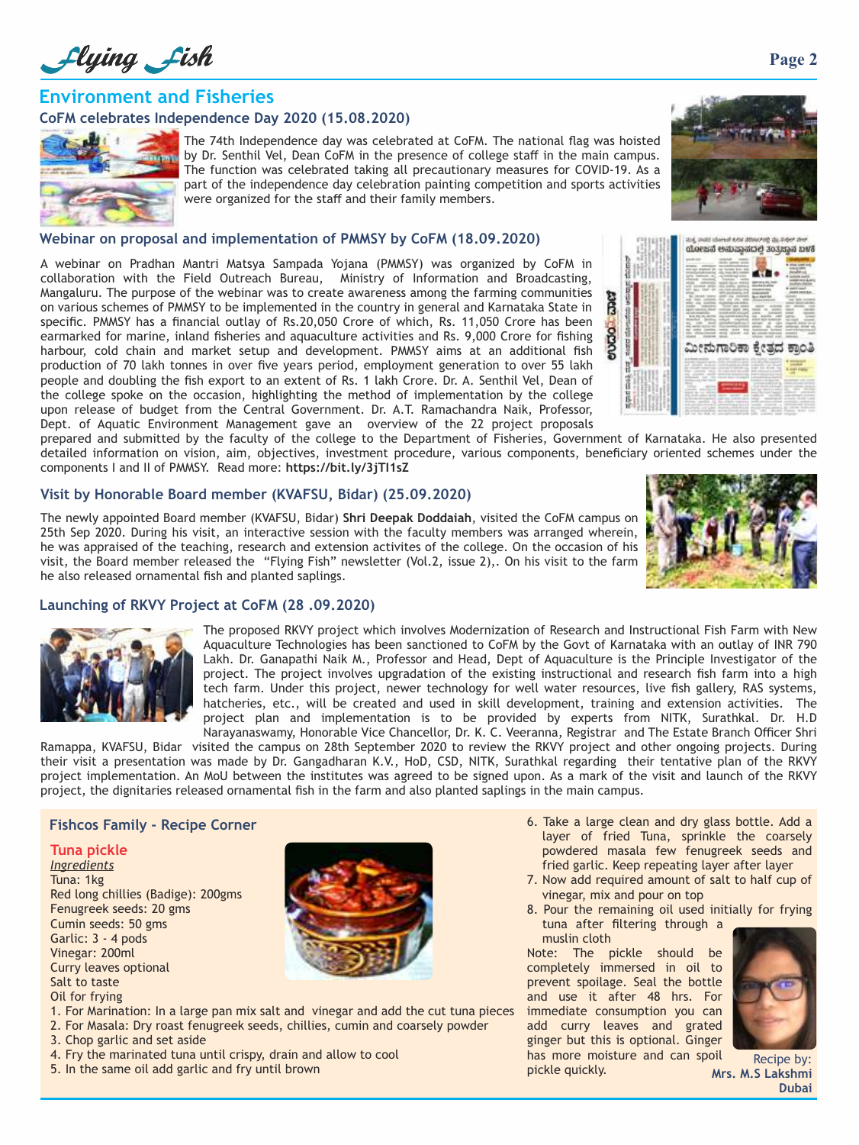Llying Lish

## **Environment and Fisheries**

## **CoFM celebrates Independence Day 2020 (15.08.2020)**



The 74th Independence day was celebrated at CoFM. The national flag was hoisted by Dr. Senthil Vel, Dean CoFM in the presence of college staff in the main campus. The function was celebrated taking all precautionary measures for COVID-19. As a part of the independence day celebration painting competition and sports activities were organized for the staff and their family members.

## **Webinar on proposal and implementation of PMMSY by CoFM (18.09.2020)**

A webinar on Pradhan Mantri Matsya Sampada Yojana (PMMSY) was organized by CoFM in collaboration with the Field Outreach Bureau, Ministry of Information and Broadcasting, Mangaluru. The purpose of the webinar was to create awareness among the farming communities on various schemes of PMMSY to be implemented in the country in general and Karnataka State in specific. PMMSY has a financial outlay of Rs.20,050 Crore of which, Rs. 11,050 Crore has been earmarked for marine, inland fisheries and aquaculture activities and Rs. 9,000 Crore for fishing harbour, cold chain and market setup and development. PMMSY aims at an additional fish production of 70 lakh tonnes in over five years period, employment generation to over 55 lakh people and doubling the fish export to an extent of Rs. 1 lakh Crore. Dr. A. Senthil Vel, Dean of the college spoke on the occasion, highlighting the method of implementation by the college upon release of budget from the Central Government. Dr. A.T. Ramachandra Naik, Professor, Dept. of Aquatic Environment Management gave an overview of the 22 project proposals



prepared and submitted by the faculty of the college to the Department of Fisheries, Government of Karnataka. He also presented detailed information on vision, aim, objectives, investment procedure, various components, beneficiary oriented schemes under the components I and II of PMMSY. Read more: **https://bit.ly/3jTI1sZ**

## **Visit by Honorable Board member (KVAFSU, Bidar) (25.09.2020)**

The newly appointed Board member (KVAFSU, Bidar) **Shri Deepak Doddaiah**, visited the CoFM campus on 25th Sep 2020. During his visit, an interactive session with the faculty members was arranged wherein, he was appraised of the teaching, research and extension activites of the college. On the occasion of his visit, the Board member released the "Flying Fish" newsletter (Vol.2, issue 2),. On his visit to the farm he also released ornamental fish and planted saplings.



## **Launching of RKVY Project at CoFM (28 .09.2020)**



The proposed RKVY project which involves Modernization of Research and Instructional Fish Farm with New Aquaculture Technologies has been sanctioned to CoFM by the Govt of Karnataka with an outlay of INR 790 Lakh. Dr. Ganapathi Naik M., Professor and Head, Dept of Aquaculture is the Principle Investigator of the project. The project involves upgradation of the existing instructional and research fish farm into a high tech farm. Under this project, newer technology for well water resources, live fish gallery, RAS systems, hatcheries, etc., will be created and used in skill development, training and extension activities. The project plan and implementation is to be provided by experts from NITK, Surathkal. Dr. H.D Narayanaswamy, Honorable Vice Chancellor, Dr. K. C. Veeranna, Registrar and The Estate Branch Officer Shri

Ramappa, KVAFSU, Bidar visited the campus on 28th September 2020 to review the RKVY project and other ongoing projects. During their visit a presentation was made by Dr. Gangadharan K.V., HoD, CSD, NITK, Surathkal regarding their tentative plan of the RKVY project implementation. An MoU between the institutes was agreed to be signed upon. As a mark of the visit and launch of the RKVY project, the dignitaries released ornamental fish in the farm and also planted saplings in the main campus.

## **Tuna pickle**

*Ingredients* Tuna: 1kg Red long chillies (Badige): 200gms Fenugreek seeds: 20 gms Cumin seeds: 50 gms Garlic: 3 - 4 pods Vinegar: 200ml Curry leaves optional Salt to taste Oil for frying



- 1. For Marination: In a large pan mix salt and vinegar and add the cut tuna pieces
- 2. For Masala: Dry roast fenugreek seeds, chillies, cumin and coarsely powder
- 3. Chop garlic and set aside
- 4. Fry the marinated tuna until crispy, drain and allow to cool
- 5. In the same oil add garlic and fry until brown
- **Fishcos Family Recipe Corner 1988** Community of the state of the state a large clean and dry glass bottle. Add a layer of fried Tuna, sprinkle the coarsely powdered masala few fenugreek seeds and fried garlic. Keep repeating layer after layer
	- 7. Now add required amount of salt to half cup of vinegar, mix and pour on top
	- 8. Pour the remaining oil used initially for frying tuna after filtering through a muslin cloth

Note: The pickle should be completely immersed in oil to prevent spoilage. Seal the bottle and use it after 48 hrs. For immediate consumption you can add curry leaves and grated ginger but this is optional. Ginger has more moisture and can spoil

pickle quickly.



Recipe by: **Mrs. M.S Lakshmi Dubai**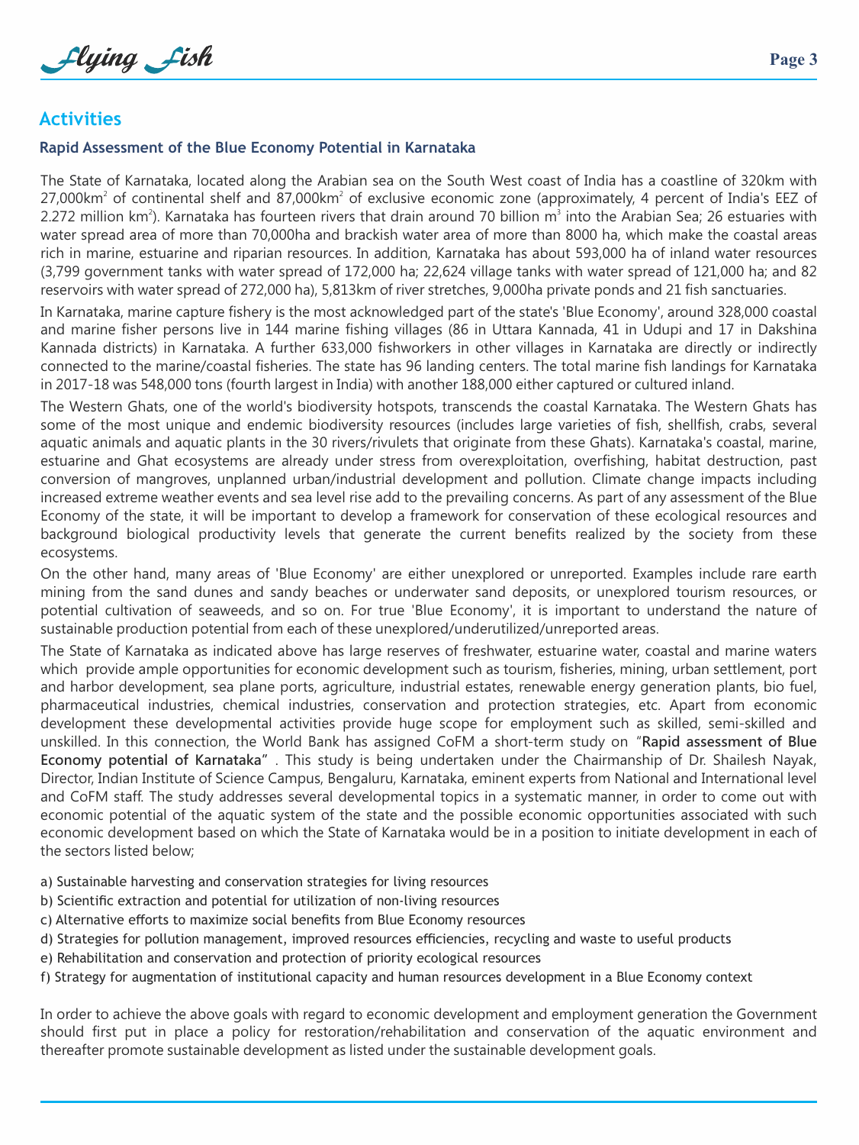Llying Lish

# **Activities**

## **Rapid Assessment of the Blue Economy Potential in Karnataka**

The State of Karnataka, located along the Arabian sea on the South West coast of India has a coastline of 320km with 27,000 $km<sup>2</sup>$  of continental shelf and 87,000 $km<sup>2</sup>$  of exclusive economic zone (approximately, 4 percent of India's EEZ of 2.272 million km<sup>2</sup>). Karnataka has fourteen rivers that drain around 70 billion m<sup>3</sup> into the Arabian Sea; 26 estuaries with water spread area of more than 70,000ha and brackish water area of more than 8000 ha, which make the coastal areas rich in marine, estuarine and riparian resources. In addition, Karnataka has about 593,000 ha of inland water resources (3,799 government tanks with water spread of 172,000 ha; 22,624 village tanks with water spread of 121,000 ha; and 82 reservoirs with water spread of 272,000 ha), 5,813km of river stretches, 9,000ha private ponds and 21 fish sanctuaries.

In Karnataka, marine capture fishery is the most acknowledged part of the state's 'Blue Economy', around 328,000 coastal and marine fisher persons live in 144 marine fishing villages (86 in Uttara Kannada, 41 in Udupi and 17 in Dakshina Kannada districts) in Karnataka. A further 633,000 fishworkers in other villages in Karnataka are directly or indirectly connected to the marine/coastal fisheries. The state has 96 landing centers. The total marine fish landings for Karnataka in 2017-18 was 548,000 tons (fourth largest in India) with another 188,000 either captured or cultured inland.

The Western Ghats, one of the world's biodiversity hotspots, transcends the coastal Karnataka. The Western Ghats has some of the most unique and endemic biodiversity resources (includes large varieties of fish, shellfish, crabs, several aquatic animals and aquatic plants in the 30 rivers/rivulets that originate from these Ghats). Karnataka's coastal, marine, estuarine and Ghat ecosystems are already under stress from overexploitation, overfishing, habitat destruction, past conversion of mangroves, unplanned urban/industrial development and pollution. Climate change impacts including increased extreme weather events and sea level rise add to the prevailing concerns. As part of any assessment of the Blue Economy of the state, it will be important to develop a framework for conservation of these ecological resources and background biological productivity levels that generate the current benefits realized by the society from these ecosystems.

On the other hand, many areas of 'Blue Economy' are either unexplored or unreported. Examples include rare earth mining from the sand dunes and sandy beaches or underwater sand deposits, or unexplored tourism resources, or potential cultivation of seaweeds, and so on. For true 'Blue Economy', it is important to understand the nature of sustainable production potential from each of these unexplored/underutilized/unreported areas.

The State of Karnataka as indicated above has large reserves of freshwater, estuarine water, coastal and marine waters which provide ample opportunities for economic development such as tourism, fisheries, mining, urban settlement, port and harbor development, sea plane ports, agriculture, industrial estates, renewable energy generation plants, bio fuel, pharmaceutical industries, chemical industries, conservation and protection strategies, etc. Apart from economic development these developmental activities provide huge scope for employment such as skilled, semi-skilled and unskilled. In this connection, the World Bank has assigned CoFM a short-term study on"**Rapid assessment of Blue Economy potential of Karnataka"**. This study is being undertaken under the Chairmanship of Dr. Shailesh Nayak, Director, Indian Institute of Science Campus, Bengaluru, Karnataka, eminent experts from National and International level and CoFM staff. The study addresses several developmental topics in a systematic manner, in order to come out with economic potential of the aquatic system of the state and the possible economic opportunities associated with such economic development based on which the State of Karnataka would be in a position to initiate development in each of the sectors listed below;

- a) Sustainable harvesting and conservation strategies for living resources
- b) Scientific extraction and potential for utilization of non-living resources
- c) Alternative efforts to maximize social benefits from Blue Economy resources
- d) Strategies for pollution management, improved resources efficiencies, recycling and waste to useful products
- e) Rehabilitation and conservation and protection of priority ecological resources
- f) Strategy for augmentation of institutional capacity and human resources development in a Blue Economy context

In order to achieve the above goals with regard to economic development and employment generation the Government should first put in place a policy for restoration/rehabilitation and conservation of the aquatic environment and thereafter promote sustainable development as listed under the sustainable development goals.